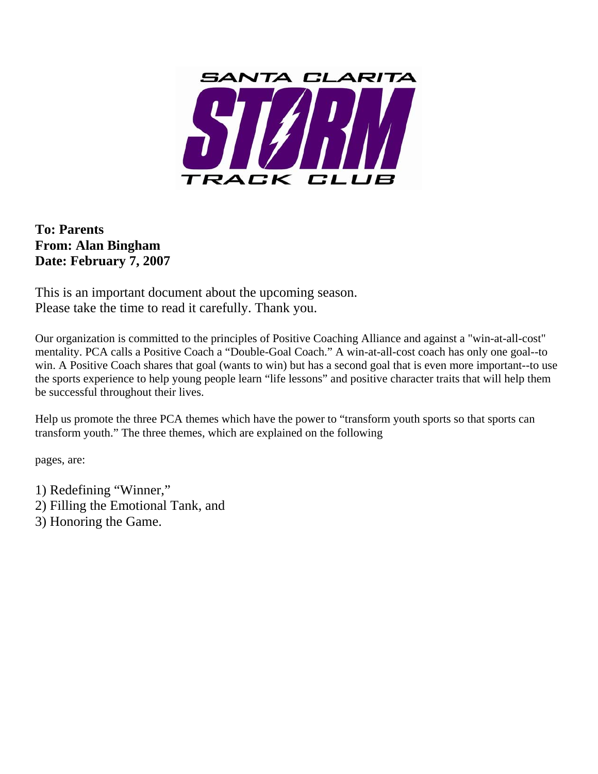

**To: Parents From: Alan Bingham Date: February 7, 2007** 

This is an important document about the upcoming season. Please take the time to read it carefully. Thank you.

Our organization is committed to the principles of Positive Coaching Alliance and against a "win-at-all-cost" mentality. PCA calls a Positive Coach a "Double-Goal Coach." A win-at-all-cost coach has only one goal--to win. A Positive Coach shares that goal (wants to win) but has a second goal that is even more important--to use the sports experience to help young people learn "life lessons" and positive character traits that will help them be successful throughout their lives.

Help us promote the three PCA themes which have the power to "transform youth sports so that sports can transform youth." The three themes, which are explained on the following

pages, are:

1) Redefining "Winner," 2) Filling the Emotional Tank, and 3) Honoring the Game.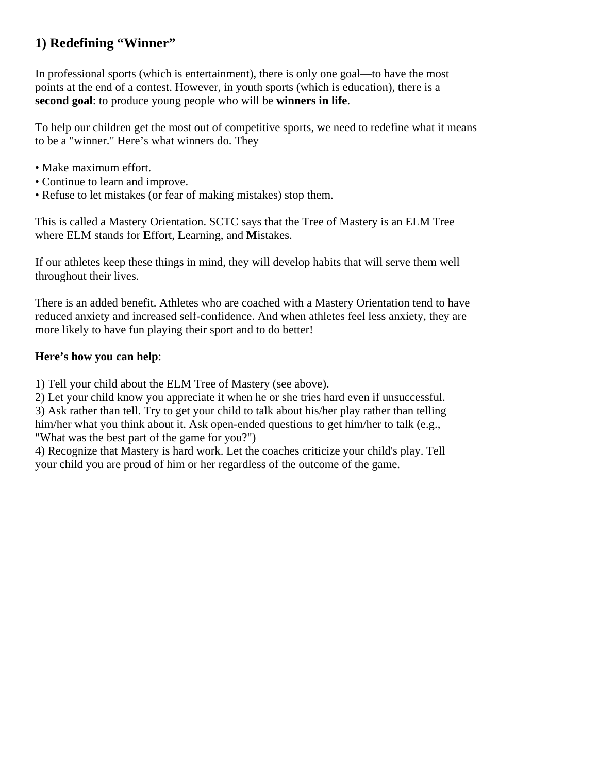# **1) Redefining "Winner"**

In professional sports (which is entertainment), there is only one goal—to have the most points at the end of a contest. However, in youth sports (which is education), there is a **second goal**: to produce young people who will be **winners in life**.

To help our children get the most out of competitive sports, we need to redefine what it means to be a "winner." Here's what winners do. They

- Make maximum effort.
- Continue to learn and improve.
- Refuse to let mistakes (or fear of making mistakes) stop them.

This is called a Mastery Orientation. SCTC says that the Tree of Mastery is an ELM Tree where ELM stands for **E**ffort, **L**earning, and **M**istakes.

If our athletes keep these things in mind, they will develop habits that will serve them well throughout their lives.

There is an added benefit. Athletes who are coached with a Mastery Orientation tend to have reduced anxiety and increased self-confidence. And when athletes feel less anxiety, they are more likely to have fun playing their sport and to do better!

### **Here's how you can help**:

1) Tell your child about the ELM Tree of Mastery (see above).

2) Let your child know you appreciate it when he or she tries hard even if unsuccessful.

3) Ask rather than tell. Try to get your child to talk about his/her play rather than telling him/her what you think about it. Ask open-ended questions to get him/her to talk (e.g., "What was the best part of the game for you?")

4) Recognize that Mastery is hard work. Let the coaches criticize your child's play. Tell your child you are proud of him or her regardless of the outcome of the game.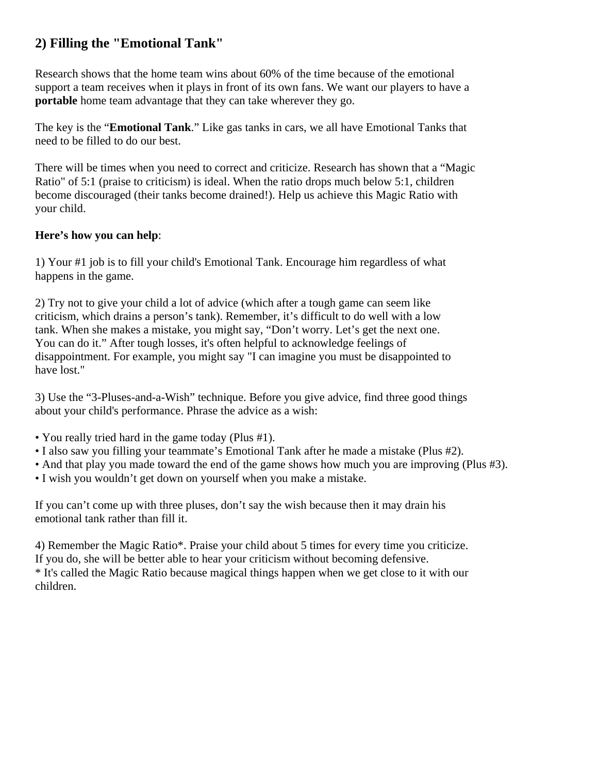# **2) Filling the "Emotional Tank"**

Research shows that the home team wins about 60% of the time because of the emotional support a team receives when it plays in front of its own fans. We want our players to have a **portable** home team advantage that they can take wherever they go.

The key is the "**Emotional Tank**." Like gas tanks in cars, we all have Emotional Tanks that need to be filled to do our best.

There will be times when you need to correct and criticize. Research has shown that a "Magic Ratio" of 5:1 (praise to criticism) is ideal. When the ratio drops much below 5:1, children become discouraged (their tanks become drained!). Help us achieve this Magic Ratio with your child.

## **Here's how you can help**:

1) Your #1 job is to fill your child's Emotional Tank. Encourage him regardless of what happens in the game.

2) Try not to give your child a lot of advice (which after a tough game can seem like criticism, which drains a person's tank). Remember, it's difficult to do well with a low tank. When she makes a mistake, you might say, "Don't worry. Let's get the next one. You can do it." After tough losses, it's often helpful to acknowledge feelings of disappointment. For example, you might say "I can imagine you must be disappointed to have lost."

3) Use the "3-Pluses-and-a-Wish" technique. Before you give advice, find three good things about your child's performance. Phrase the advice as a wish:

- You really tried hard in the game today (Plus #1).
- I also saw you filling your teammate's Emotional Tank after he made a mistake (Plus #2).
- And that play you made toward the end of the game shows how much you are improving (Plus #3).
- I wish you wouldn't get down on yourself when you make a mistake.

If you can't come up with three pluses, don't say the wish because then it may drain his emotional tank rather than fill it.

4) Remember the Magic Ratio\*. Praise your child about 5 times for every time you criticize. If you do, she will be better able to hear your criticism without becoming defensive. \* It's called the Magic Ratio because magical things happen when we get close to it with our children.